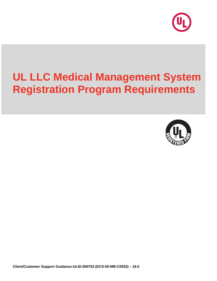

# **UL LLC Medical Management System Registration Program Requirements**

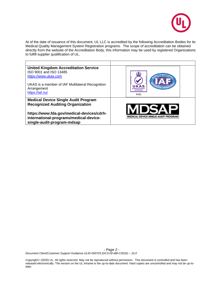

At of the date of issuance of this document, UL LLC is accredited by the following Accreditation Bodies for its Medical Quality Management System Registration programs. The scope of accreditation can be obtained directly from the website of the Accreditation Body, this information may be used by registered Organizations to fulfill supplier qualification of UL.

| <b>United Kingdom Accreditation Service</b>                                                                       |                                             |
|-------------------------------------------------------------------------------------------------------------------|---------------------------------------------|
| ISO 9001 and ISO 13485                                                                                            |                                             |
| https://www.ukas.com                                                                                              |                                             |
| UKAS is a member of IAF Multilateral Recognition<br>Arrangement<br>https://iaf.nu/                                | UKAS<br>MANAGEMEN<br><b>SYSTEMS</b><br>4426 |
| <b>Medical Device Single Audit Program</b>                                                                        |                                             |
| <b>Recognized Auditing Organization</b>                                                                           |                                             |
| https://www.fda.gov/medical-devices/cdrh-<br>international-programs/medical-device-<br>single-audit-program-mdsap | CAL DEVICE SINGLE AUDIT PROGRA              |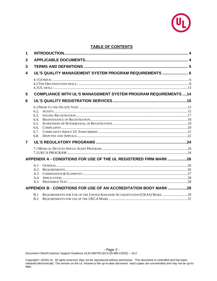

## **TABLE OF CONTENTS**

| 1 |                                                      |                                                                          |  |
|---|------------------------------------------------------|--------------------------------------------------------------------------|--|
| 2 |                                                      |                                                                          |  |
| 3 |                                                      |                                                                          |  |
| 4 |                                                      | UL'S QUALITY MANAGEMENT SYSTEM PROGRAM REQUIREMENTS  6                   |  |
|   |                                                      |                                                                          |  |
| 5 |                                                      | <b>COMPLIANCE WITH UL'S MANAGEMENT SYSTEM PROGRAM REQUIREMENTS  14</b>   |  |
| 6 |                                                      |                                                                          |  |
|   | 6.2.<br>6.3.<br>6.4.<br>6.5.<br>6.6.<br>6.7.<br>6.8. |                                                                          |  |
| 7 |                                                      |                                                                          |  |
|   |                                                      |                                                                          |  |
|   |                                                      | APPENDIX A - CONDITIONS FOR USE OF THE UL REGISTERED FIRM MARK 26        |  |
|   | A.1<br>A.2.<br>A.3<br>A.4<br>A.5                     |                                                                          |  |
|   |                                                      | APPENDIX B - CONDITIONS FOR USE OF AN ACCREDITATION BODY MARK 29         |  |
|   | B.1<br>B.2                                           | REQUIREMENTS FOR USE OF THE UNITED KINGDOM ACCREDITATION (UKAS) MARK  29 |  |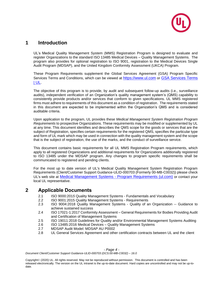

# **1 Introduction**

UL's Medical Quality Management System (MMS) Registration Program is designed to evaluate and register Organizations to the standard ISO 13485 Medical Devices – Quality Management Systems. The program also provides for optional registration to ISO 9001, registration to the Medical Devices Single Audit Program (MDSAP), and the United Kingdom Conformity Assessment (UKCA) Program.

These Program Requirements supplement the Global Services Agreement (GSA) Program Specific Services Terms and Conditions, which can be viewed at [https://www.ul.com](https://www.ul.com/resources/start-safe-playbook) or GSA Services Terms [| UL.](https://www.ul.com/resources/contracts/gsa-service-terms)

The objective of this program is to provide, by audit and subsequent follow-up audits (i.e., surveillance audits), independent verification of an Organization's quality management system's (QMS) capability to consistently provide products and/or services that conform to given specifications. UL MMS registered firms must adhere to requirements of this document as a condition of registration. The requirements stated in this document are expected to be implemented within the Organization's QMS and is considered auditable criteria.

Upon application to the program, UL provides these *Medical Management System Registration Program Requirements* to prospective Organizations. These requirements may be modified or supplemented by UL at any time. This document identifies and describes the QMS scope for the goods or services that are the subject of Registration, specifies certain requirements for the registered QMS, specifies the particular type and form of UL mark which may be used in connection with the quality management system and the scope that is the subject of registration, the use of the marks, and the conduct of surveillance service.

This document contains basic requirements for all UL MMS Registration Program requirements, which apply to all registered Organizations and additional requirements for Organizations additionally registered to ISO 13485 under the MDSAP program. Any changes to program specific requirements shall be communicated to registered and pending clients.

For the most up to date version of UL's Medical Quality Management System Registration Program Requirements (Client/Customer Support Guidance-ULID-000703 (Formerly 00-MB-C0032)) please check UL's web site at [Medical Management Systems -](https://content-main.ul.com/sites/g/files/qbfpbp306/files/2021-05/UL%20MMS%20Program%20Requirements%2000-MB-C0032%5B2%5D.pdf) Program Requirements (ul.com) or contact your local UL representative.

# **2 Applicable Documents**

- 2.1 ISO 9000:201*5* Quality Management Systems Fundamentals and Vocabulary
- 2.2 ISO 9001:2015 Quality Management Systems Requirements
- 2.3 ISO 9004:2018 Quality Management Systems Quality of an Organization -- Guidance to achieve sustained success
- 2.4 ISO 17021-1:2017 Conformity Assessment General Requirements for Bodies Providing Audit and Certification of Management Systems
- 2.5 ISO 19011:2018 Guidelines for Quality and/or Environmental Management Systems Auditing
- 2.6 ISO 13485:2016 Medical Devices Quality Management Systems
- 2.7 MDSAP Audit Model: MDSAP AU P0002
- 2.8 UL General Services Agreement and other certification contracts between UL and the client

*- Page 4 -*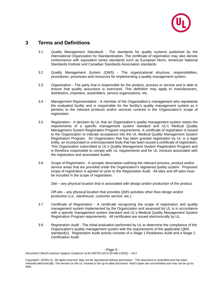

# **3 Terms and Definitions**

- 3.1 *Quality Management Standards -* The standards for quality systems published by the International Organization for Standardization. The certificate of registration may also denote conformance with equivalent series standards such as European Norm, American National Standards Institute and Canadian Standards Association standards.
- 3.2 *Quality Management System (QMS)*  The organizational structure, responsibilities, procedures, processes and resources for implementing a quality management system.
- 3.3 *Organization* The party that is responsible for the product, process or service and is able to ensure that quality assurance is exercised. This definition may apply to manufacturers, distributors, importers, assemblers, service organizations, etc.
- 3.4 *Management Representative -* A member of the Organization's management who represents the evaluated facility and is responsible for the facility's quality management system as it pertains to the relevant products and/or services covered in the Organization's scope of registration.
- 3.5 *Registration*  A decision by UL that an Organization's quality management system meets the requirements of a specific management system standard and UL's Medical Quality Management System Registration Program requirements. A certificate of registration is issued to the Organization to indicate acceptance into the UL Medical Quality Management System Registration Program. An Organization that has been granted registration by UL is a legal entity, an incorporated or unincorporated body that has been issued a certificate of registration. This Organization subscribed to UL's Quality Management System Registration Program and is therefore responsible to comply with UL requirements and for UL invoices associated with the registration and associated Audits.
- 3.6 *Scope of Registration*  A synoptic description outlining the relevant process, product and/or service areas that are provided under the Organization's registered quality system. Proposed scope of registration is agreed on prior to the Registration Audit. All sites and off-sites must be included in the scope of registration.

*Site* – any physical location that is associated with design and/or production of the product.

*Off-site* – any physical location that provides QMS activities other than design and/or production (i.e., warehouse, customer service, etc.).

- 3.7 *Certificate of Registration -* A certificate recognizing the scope of registration and quality management system implemented by the Organization and assessed by UL is in accordance with a specific management system standard and UL's Medical Quality Management System Registration Program requirements. All certificates are issued electronically by UL.
- 3.8 *Registration Audit* The initial evaluation performed by UL to determine the compliance of the Organization's quality management system with the requirements of the applicable QMS standard(s). Registration Audit activity consists of a Stage 1 Readiness Audit and a Stage 2 Certification Audit.

*- Page 5 -*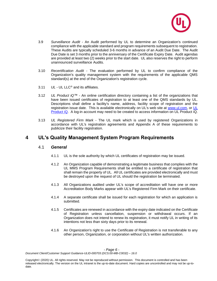

- 3.9 *Surveillance Audit* An Audit performed by UL to determine an Organization's continued compliance with the applicable standard and program requirements subsequent to registration. These Audits are typically scheduled 3-6 months in advance of an Audit Due Date. The Audit Due Date is set 3 months prior to the anniversary of the Certificate Expiry Date. Audit agendas are provided at least two (2) weeks prior to the start date. UL also reserves the right to perform unannounced surveillance Audits.
- 3.10 *Recertification Audit* The evaluation performed by UL to confirm compliance of the Organization's quality management system with the requirements of the applicable QMS standard(s) at the end of the Organization's registration cycle.
- 3.11 *UL -* UL LLC® and its affiliates.
- 3.12 *UL Product iQ™ -* An online certification directory containing a list of the organizations that have been issued certificates of registration to at least one of the QMS standards by UL. Descriptions shall define a facility's name, address, facility scope of registration and the registration issue date. This is available electronically on UL's web site at [www.ul.com,](http://www.ul.com/) or [UL](https://productiq.ulprospector.com/en)  [Product iQ.](https://productiq.ulprospector.com/en) A log-in account may need to be created to access information on UL Product iQ.
- 3.13 *UL Registered Firm Mark -* The UL mark which is used by registered Organizations in accordance with UL's registration agreements and Appendix A of these requirements to publicize their facility registration.

# **4 UL's Quality Management System Program Requirements**

## 4.1 *General*

- 4.1.1 UL is the sole authority by which UL certificates of registration may be issued.
- 4.1.2 An Organization capable of demonstrating a legitimate business that complies with the UL MMS Program Requirements shall be entitled to a certificate of registration that shall remain the property of UL. All UL certificates are provided electronically and must be destroyed upon the request of UL should the registration be terminated.
- 4.1.3 All Organizations audited under UL's scope of accreditation will have one or more Accreditation Body Marks appear with UL's Registered Firm Mark on their certificate.
- 4.1.4 A separate certificate shall be issued for each registration for which an application is submitted.
- 4.1.5 Certificates are renewed in accordance with the expiry date indicated on the Certificate of Registration unless cancellation, suspension or withdrawal occurs. If an Organization does not intend to renew its registration, it must notify UL in writing of its intentions not less than sixty days prior to its renewal.
- 4.1.6 An Organization's right to use the Certificate of Registration is not transferable to any other person, Organization, or corporation without UL's written authorization.

*- Page 6 -*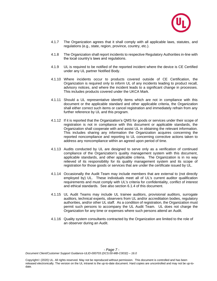

- 4.1.7 The Organization agrees that it shall comply with all applicable laws, statutes, and regulations (e.g., state, region, province, country, etc.).
- 4.1.8 The Organization shall report incidents to respective Regulatory Authorities in-line with the local country's laws and regulations.
- 4.1.9 UL is required to be notified of the reported incident where the device is CE Certified under any UL partner Notified Body.
- 4.1.10 Where incidents occur to products covered outside of CE Certification, the Organization is required only to inform UL of any incidents leading to product recall, advisory notices, and where the incident leads to a significant change in processes. This includes products covered under the UKCA Mark.
- 4.1.11 Should a UL representative identify items which are not in compliance with this document or the applicable standard and other applicable criteria, the Organization shall either correct such items or cancel registration and immediately refrain from any further reference by UL and this program.
- 4.1.12 If it is reported that the Organization's QMS for goods or services under their scope of registration is not in compliance with this document or applicable standards, the Organization shall cooperate with and assist UL in obtaining the relevant information. This includes sharing any information the Organization acquires concerning the reported noncompliance and reporting to UL concerning corrective actions taken to address any noncompliance within an agreed upon period of time.
- 4.1.13 Audits conducted by UL are designed to serve only as a verification of continued compliance of the Organization's quality management system with this document, applicable standards, and other applicable criteria. The Organization is in no way relieved of its responsibility for its quality management system and its scope of registration for those goods or services that are under the certificate issued by UL.
- 4.1.14 Occasionally the Audit Team may include members that are external to (not directly employed by) UL. These individuals meet all of UL's current auditor qualification requirements and must comply with UL's criteria for confidentiality, conflict of interest and ethical standards. See also section 6.1.4 of this document.
- 4.1.15 UL Audit Teams may include UL trainee auditors, provisional auditors, surrogate auditors, technical experts, observers from UL and/or accreditation bodies, regulatory authorities, and/or other UL staff. As a condition of registration, the Organization must permit such persons to accompany the UL Audit Team. UL does not charge the Organization for any time or expenses where such persons attend an Audit.
- 4.1.16 Quality system consultants contracted by the Organization are limited to the role of an observer during an Audit.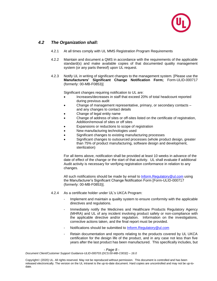

## *4.2 The Organization shall:*

- 4.2.1 At all times comply with UL MMS Registration Program Requirements
- 4.2.2 Maintain and document a QMS in accordance with the requirements of the applicable standard(s) and make available copies of that documented quality management system (or any parts thereof) upon UL request.
- 4.2.3 Notify UL in writing of significant changes to the management system. [Please use the **Manufacturers' Significant Change Notification Form;** Form-ULID-000717 (formerly: 00-MB-F0853)]

Significant changes requiring notification to UL are:

- Increases/decreases in staff that exceed 20% of total headcount reported during previous audit
- Change of management representative, primary, or secondary contacts and any changes to contact details
- Change of legal entity name
- Change of address of sites or off-sites listed on the certificate of registration, Addition/removal of sites or off sites
- Expansions or reductions to scope of registration
- New manufacturing technologies used
- Significant changes to existing manufacturing processes
- Significant changes to outsourced processes (whole product design, greater than 75% of product manufacturing, software design and development, sterilization)

For all items above, notification shall be provided at least 10 weeks in advance of the date of effect of the change or the start of that activity. UL shall evaluate if additional Audit activity is necessary for verifying registration conformance in relation to any changes.

All such notifications should be made by email to Inform. Regulatory@ul.com using the Manufacturer's Significant Change Notification Form [Form-ULID-000717 (formerly: 00-MB-F0853)].

- 4.2.4 As a certificate holder under UL's UKCA Program:
	- Implement and maintain a quality system to ensure conformity with the applicable directives and regulations.
	- Immediately notify the Medicines and Healthcare Products Regulatory Agency (MHRA) and UL of any incident involving product safety or non-compliance with the applicable directive and/or regulation. Information on the investigations, corrective actions taken, and the final report must be provided.
	- Notifications should be submitted to [Inform.Regulatory@ul.com](mailto:Inform.Regulatory@ul.com)
	- Retain documentation and reports relating to the products covered by UL UKCA certification for the design life of the product, and in any case not less than five years after the last product has been manufactured. This specifically includes, but

*- Page 8 -*

*Document Client/Customer Support Guidance-ULID-000703 (DCS:00-MB-C0032) – 16.0*

Copyright© (2020) UL. All rights reserved. May not be reproduced without permission. This document is controlled and has been released electronically. The version on the UL intranet is the up-to-date document. Hard copies are uncontrolled and may not be up-todate.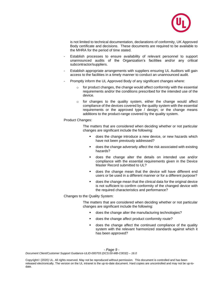

is not limited to technical documentation, declarations of conformity, UK Approved Body certificate and decisions. These documents are required to be available to the MHRA for the period of time stated.

- Establish processes to ensure availability of relevant personnel to support unannounced audits of the Organization's facilities and/or any critical subcontractor/suppliers.
- Establish appropriate arrangements with suppliers ensuring UL Auditors will gain access to the facilities in a timely manner to conduct an unannounced audit.
- Promptly inform the UL Approved Body of any significant changes where:
	- $\circ$  for product changes, the change would affect conformity with the essential requirements and/or the conditions prescribed for the intended use of the device.
	- o for changes to the quality system, either the change would affect compliance of the devices covered by the quality system with the essential requirements or the approved type / design; or the change means additions to the product-range covered by the quality system.

#### Product Changes:

The matters that are considered when deciding whether or not particular changes are significant include the following:

- does the change introduce a new device, or new hazards which have not been previously addressed?
- does the change adversely affect the risk associated with existing hazards?
- does the change alter the details on intended use and/or compliance with the essential requirements given in the Device Master Record submitted to UL?
- does the change mean that the device will have different end users or be used in a different manner or for a different purpose?
- does the change mean that the clinical data for the original device is not sufficient to confirm conformity of the changed device with the required characteristics and performance?

Changes to the Quality System:

The matters that are considered when deciding whether or not particular changes are significant include the following:

- does the change alter the manufacturing technologies?
- does the change affect product conformity route?
- does the change affect the continued compliance of the quality system with the relevant harmonized standards against which it has been approved?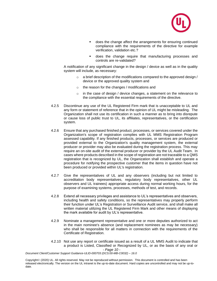

- does the change affect the arrangements for ensuring continued compliance with the requirements of the directive for example verification, validation etc.?
- does the change require that manufacturing processes and controls are re-validated?

A notification of any significant change in the design / device as well as in the quality system will include, as necessary:

- o a brief description of the modifications compared to the approved design / device or the approved quality system and
- o the reason for the changes / modifications and
- o in the case of design / device changes, a statement on the relevance to the compliance with the essential requirements of the directive.
- 4.2.5 Discontinue any use of the UL Registered Firm mark that is unacceptable to UL and any form or statement of reference that in the opinion of UL might be misleading. The Organization shall not use its certification in such a manner as to bring into disrepute or cause loss of public trust to UL, its affiliates, representatives, or the certification system.
- 4.2.6 Ensure that any purchased finished product, processes, or services covered under the Organization's scope of registration complies with UL MMS Registration Program assessed capability. If any finished products, processes, or services are produced or provided external to the Organization's quality management system, the external producer or provider may also be evaluated during the registration process. This may require an on-site audit of the external producer or provider by the UL Audit Team. In cases where products described in the scope of registration are not traceable to a QMS registration that is recognized by UL, the Organization shall establish and operate a procedure for notifying the prospective customer that the items in question have not been produced or provided within UL's registration.
- 4.2.7 Give the representatives of UL and any observers (including but not limited to accreditation body representatives, regulatory body representatives, other UL observers and UL trainees) appropriate access during normal working hours, for the purpose of examining systems, processes, methods of test, and records.
- 4.2.8 Extend all necessary privileges and assistance to UL's representatives and observers, including health and safety conditions, so the representatives may properly perform their function under UL's Registration or Surveillance Audit service, and shall make all written material utilizing the UL Registered Firm Mark and other means of displaying the mark available for audit by UL's representative.
- 4.2.9 Nominate a management representative and one or more deputies authorized to act in the main nominee's absence (and replacement nominees as may be necessary) who shall be responsible for all matters in connection with the requirements of the Certificate of Registration.
- *- Page 10 -* 4.2.10 Not use any report or certificate issued as a result of a UL MMS Audit to indicate that a product is Listed, Classified or Recognized by UL, or as the basis of any oral or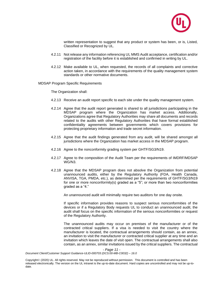

written representation to suggest that any product or system has been, or is, Listed, Classified or Recognized by UL.

- 4.2.11 Not release any information referencing UL MMS Audit acceptance, certification and/or registration of the facility before it is established and confirmed in writing by UL.
- 4.2.12 Make available to UL, when requested, the records of all complaints and corrective action taken, in accordance with the requirements of the quality management system standards or other normative documents.

MDSAP Program Specific Requirements

The Organization shall:

- 4.2.13 Receive an audit report specific to each site under the quality management system.
- 4.2.14 Agree that the audit report generated is shared to all jurisdictions participating in the MDSAP program where the Organization has market access. Additionally, Organizations agree that Regulatory Authorities may share all documents and records related to the audits with other Regulatory Authorities that have formal established confidentiality agreements between governments which covers provisions for protecting proprietary information and trade secret information.
- 4.2.15 Agree that the audit findings generated from any audit, will be shared amongst all jurisdictions where the Organization has market access in the MDSAP program.
- 4.2.16 Agree to the nonconformity grading system per GHTF/SG3/N19.
- 4.2.17 Agree to the composition of the Audit Team per the requirements of IMDRF/MDSAP WG/N3.
- 4.2.18 Agree that the MDSAP program does not absolve the Organization from potential unannounced audits, either by the Regulatory Authority (FDA, Health Canada, ANVISA, TGA, PMDA, etc.), as determined per the requirements of GHTF/SG3/N19 for one or more nonconformity(s) graded as a "5"; or more than two nonconformities graded as a "4."

An unannounced audit will minimally require two auditors for one day onsite.

If specific information provides reasons to suspect serious nonconformities of the devices or if a Regulatory Body requests UL to conduct an unannounced audit, the audit shall focus on the specific information of the serious nonconformities or request of the Regulatory Authority.

The unannounced audits may occur on premises of the manufacturer or of the contracted critical suppliers. If a visa is needed to visit the country where the manufacturer is located, the contractual arrangements should contain, as an annex, an invitation to visit the manufacturer or contracted critical supplier at any time and an invitation which leaves the date of visit open. The contractual arrangements shall also contain, as an annex, similar invitations issued by the critical suppliers. The contractual

*- Page 11 -*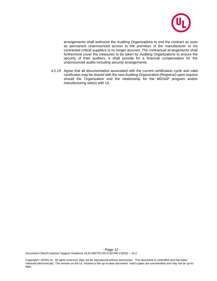

arrangements shall authorize the Auditing Organizations to end the contract as soon as permanent unannounced access to the premises of the manufacturer or his contracted critical suppliers is no longer assured. The contractual arrangements shall furthermore cover the measures to be taken by Auditing Organizations to ensure the security of their auditors. It shall provide for a financial compensation for the unannounced audits including security arrangements.

4.2.19 Agree that all documentation associated with the current certification cycle and valid certificates may be shared with the next Auditing Organization (Registrar) upon request should the Organization end the relationship for the MDSAP program and/or manufacturing site(s) with UL.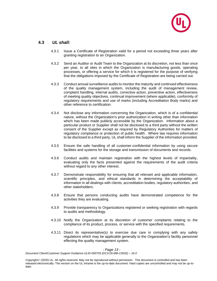

## **4.3** *UL shall:*

- 4.3.1 Issue a Certificate of Registration valid for a period not exceeding three years after granting registration to an Organization.
- 4.3.2 Send an Auditor or Audit Team to the Organization at its discretion, not less than once per year, to all sites in which the Organization is manufacturing goods, operating processes, or offering a service for which it is registered for the purpose of verifying that the obligations imposed by the Certificate of Registration are being carried out.
- 4.3.3 Conduct annual surveillance audits to monitor the maturity and continued effectiveness of the quality management system, including the audit of management review, complaint handling, internal audits, corrective action, preventive action, effectiveness of meeting quality objectives, continual improvement (where applicable), conformity of regulatory requirements and use of marks (including Accreditation Body marks) and other reference to certification.
- 4.3.4 Not disclose any information concerning the Organization, which is of a confidential nature, without the Organization's prior authorization in writing other than information which has been made publicly accessible by the Organization. Information about a particular product or Supplier shall not be disclosed to a third party without the written consent of the Supplier except as required by Regulatory Authorities for matters of regulatory compliance or protection of public health. Where law requires information to be disclosed to a third party, UL shall inform the Supplier of the information provided.
- 4.3.5 Ensure the safe handling of all customer-confidential information by using secure facilities and systems for the storage and transmission of documents and records.
- 4.3.6 Conduct audits and maintain registration with the highest levels of impartiality, evaluating only the facts presented against the requirements of the audit criteria without regard to any other interest.
- 4.3.7 Demonstrate responsibility for ensuring that all relevant and applicable information, scientific principles, and ethical standards in determining the acceptability of information in all dealings with clients, accreditation bodies, regulatory authorities, and other stakeholders.
- 4.3.8 Ensure that persons conducting audits have demonstrated competence for the activities they are evaluating.
- 4.3.9 Provide transparency to Organizations registered or seeking registration with regards to audits and methodology.
- 4.3.10 Notify the Organization at its discretion of customer complaints relating to the compliance of its product, process, or service with the specified requirements.
- 4.3.11 Direct its representative(s) to exercise due care in complying with any safety regulations which may be applicable generally to the Organization's facility personnel effecting the quality management system.

*- Page 13 -*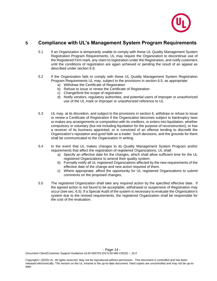

# **5 Compliance with UL's Management System Program Requirements**

- 5.1 If an Organization is temporarily unable to comply with these UL Quality Management System Registration Program Requirements, UL may require the Organization to discontinue use of the Registered Firm mark, any claim to registration under the Registration, and notify customers until the conditions of registration are again achieved or pending the result of an appeal as described under section 6.8.
- 5.2 If the Organization fails to comply with these UL Quality Management System Registration Program Requirements UL may, subject to the provisions in section 6.5, as appropriate:
	- a) Withdraw the Certificate of Registration
	- b) Refuse to issue or renew the Certificate of Registration
	- c) Change/limit the scope of registration
	- d) Notify vendors, regulatory authorities, and potential users of improper or unauthorized use of the UL mark or improper or unauthorized reference to UL
- 5.3 UL may, at its discretion, and subject to the provisions in section 6, withdraw or refuse to issue or renew a Certificate of Registration if the Organization becomes subject to bankruptcy laws or makes any arrangements or composition with its creditors, or enters into liquidation, whether compulsory or voluntary (but not including liquidation for the purpose of reconstruction), or has a receiver of its business appointed, or is convicted of an offense tending to discredit the Organization's reputation and good faith as a trader. Such decisions, and the grounds for them shall be communicated to the Organization in writing.
- 5.4 In the event that UL makes changes to its Quality Management System Program and/or requirements that affect the registration of registered Organizations, UL shall:
	- a) Specify an effective date for the changes, which shall allow sufficient time for the UL registered Organizations to amend their quality system.
	- b) Formally notify all UL registered Organizations affected by the new requirements of the effective date of the change and new action required of them.
	- c) Where appropriate, afford the opportunity for UL registered Organizations to submit comments on the proposed changes,
- 5.5 The registered Organization shall take any required action by the specified effective date. If the agreed action is not found to be acceptable, withdrawal or suspension of Registration may occur (see sec. 6.5). If a Special Audit of the system is necessary to evaluate the Organization's system due to the revised requirements, the registered Organization shall be responsible for the cost of the evaluation.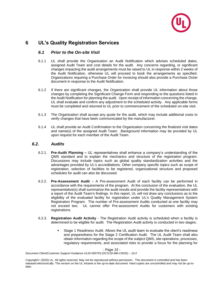

# **6 UL's Quality Registration Services**

## *6.1 Prior to the On-site Visit*

- 6.1.1 UL shall provide the Organization an Audit Notification which advises scheduled dates, assigned Audit Team and cost details for the audit. Any concerns regarding, or significant changes impacting the audit arrangements must be raised to UL in response within 2 weeks of the Audit Notification, otherwise UL will proceed to book the arrangements as specified. Organizations requiring a Purchase Order for invoicing should also provide a Purchase Order document in response to the Audit Notification.
- 6.1.2 If there are significant changes, the Organization shall provide UL information about those changes by completing the Significant Change Form and responding to the questions listed in the Audit Notification for planning the audit. Upon receipt of information concerning the change, UL shall evaluate and confirm any adjustment to the scheduled activity. Any applicable forms must be completed and returned to UL prior to commencement of the scheduled on-site visit.
- 6.1.3 The Organization shall accept any quote for the audit, which may include additional costs to verify changes that have been communicated by the manufacturer.
- 6.1.4 UL shall provide an Audit Confirmation to the Organization concerning the finalized visit dates and name(s) of the assigned Audit Team. Background information may be provided by UL upon request for each member of the Audit Team.

## *6.2. Audits*

- 6.2.1. **Pre-Audit Planning –** UL representatives shall enhance a company's understanding of the QMS standard and to explain the mechanics and structure of the registration program. Discussions may include topics such as global quality standardization activities and the advantages provided by UL's accreditations. Other company specific topics such as scope of registration, selection of facilities to be registered, organizational structure and proposed schedules for audit can also be discussed.
- 6.2.2. **Pre-Assessment Audit** A Pre-assessment Audit of each facility can be performed in accordance with the requirements of the program. At the conclusion of the evaluation, the UL representative(s) shall summarize the audit results and provide the facility representatives with a report of the Audit Team's findings. In this report, UL will not draw any conclusions as to the eligibility of the evaluated facility for registration under UL's Quality Management System Registration Program. The number of Pre-assessment Audits conducted at one facility may not exceed two. UL cannot offer Pre-assessment Audits for customers with existing registrations.
- 6.2.3. **Registration Audit Activity** The Registration Audit activity is scheduled when a facility is determined to be eligible for audit. The Registration Audit activity is conducted in two stages:
	- Stage 1 Readiness Audit: Allows the UL audit team to evaluate the client's readiness and preparedness for the Stage 2 Certification Audit. The UL Audit Team shall also obtain information regarding the scope of the subject QMS, site operations, processes, regulatory requirements, and associated risks to provide a focus for the planning for

*- Page 15 -*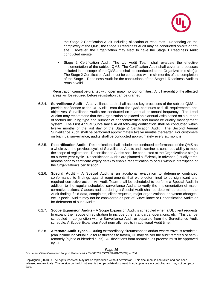

the Stage 2 Certification Audit including allocation of resources. Depending on the complexity of the QMS, the Stage 1 Readiness Audit may be conducted on-site or offsite. However, the Organization may elect to have the Stage 1 Readiness Audit conducted on-site.

Stage 2 Certification Audit: The UL Audit Team shall evaluate the effective implementation of the subject QMS. The Certification Audit shall cover all processes included in the scope of the QMS and shall be conducted at the Organization's site(s). The Stage 2 Certification Audit must be conducted within six months of the completion of the Stage 1 Readiness Audit for the conclusions of the Stage 1 Readiness Audit to remain valid.

Registration cannot be granted with open major nonconformities. A full re-audit of the affected areas will be required before registration can be granted.

- 6.2.4. **Surveillance Audit** A surveillance audit shall assess key processes of the subject QMS to provide confidence to the UL Audit Team that the QMS continues to fulfill requirements and objectives. Surveillance Audits are conducted on bi-annual or annual frequency. The Lead Auditor may recommend that the Organization be placed on biannual visits based on a number of factors including type and number of nonconformities and immature quality management system. The First Annual Surveillance Audit following certification shall be conducted within twelve months of the last day of the Stage 2 Certification Audit. The Second Annual Surveillance Audit shall be performed approximately twelve months thereafter. For customers on biannual surveillance, audits shall be conducted approximately every six months.
- 6.2.5. **Recertification Audit** Recertification shall include the continued performance of the QMS as a whole over the previous cycle of Surveillance Audits and examine its continued ability to meet the scope of registration. Recertification Audits shall be conducted at the Organization's site(s) on a three-year cycle. Recertification Audits are planned sufficiently in advance (usually three months prior to certificate expiry date) to enable recertification to occur without interruption of the Organization's certification.
- 6.2.6. **Special Audit** A Special Audit is an additional evaluation to determine continued conformance to findings against requirements that were determined to be significant and required corrective action. An Audit Team shall be scheduled to perform a Special Audit in addition to the regular scheduled surveillance Audits to verify the implementation of major corrective actions. Clauses audited during a Special Audit shall be determined based on the Audit finding, field data, complaints, client requests, major organizational or system changes, etc. Special Audits may not be considered as part of Surveillance or Recertification Audits or for deferment of such Audits.
- 6.2.7. **Scope Expansion Audits -** A Scope Expansion Audit is scheduled when a UL client requests to expand their scope of registration to include other standards, operations, etc. This can be scheduled in conjunction with a Surveillance Audit or separate from the Surveillance Audit schedule. A Scope Expansion Audit normally results in additional Audit time.
- 6.2.8. **Alternate Audit Types –** During extraordinary circumstances and/or where travel is restricted (can include individual auditor restrictions to travel), UL may deliver the audit remotely or semiremotely (hybrid or blended audit). All deviations from normal audit process must be approved by UL.

*- Page 16 -*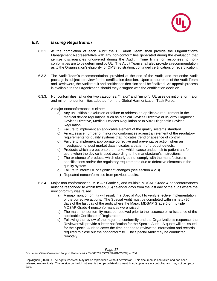

## *6.3. Issuing Registration*

- 6.3.1. At the completion of each Audit the UL Audit Team shall provide the Organization's Management Representative with any non-conformities generated during the evaluation that itemize discrepancies uncovered during the Audit. Time limits for responses to nonconformities are to be determined by UL. The Audit Team shall also provide a recommendation as to the Organization's eligibility for QMS registration, continued certification, or recertification.
- 6.3.2. The Audit Team's recommendation, provided at the end of the Audit, and the entire Audit package is subject to review for the certification decision. Upon concurrence of the Audit Team and Reviewers, the Audit result and certification decision shall be finalized. An appeals process is available to the Organization should they disagree with the certification decision.
- 6.3.3. Nonconformities fall under two categories, "major" and "minor". UL uses definitions for major and minor nonconformities adopted from the Global Harmonization Task Force.

A major nonconformance is either:

- a) Any unjustifiable exclusion or failure to address an applicable requirement in the medical device regulations such as Medical Devices Directive or In-Vitro Diagnostic Devices Directive, Medical Devices Regulation or In-Vitro Diagnostic Devices Regulation.
- b) Failure to implement an applicable element of the quality systems standard
- c) An excessive number of minor nonconformities against an element of the regulatory requirements for quality systems that indicates trend or absence of control.
- d) Failure to implement appropriate corrective and preventative action when an investigation of post market data indicates a pattern of product defects.
- e) Products which are put onto the market which cause undue risk to patient and/or users when the device is used according to the manufacturer's instructions.
- f) The existence of products which clearly do not comply with the manufacturer's specifications and/or the regulatory requirements due to defective elements in the quality system.
- g) Failure to inform UL of significant changes (see section 4.2.3)
- h) Repeated nonconformities from previous audits.
- 6.3.4. Major non-conformances, MDSAP Grade 5, and multiple MDSAP Grade 4 nonconformances must be responded to within fifteen (15) calendar days from the last day of the audit where the nonconformity was raised.
	- a) A major nonconformity will result in a Special Audit to verify effective implementation of the corrective actions. The Special Audit must be completed within ninety (90) days of the last day of the audit where the Major, MDSAP Grade 5 or multiple MDSAP Grade 4 nonconformances were raised.
	- b) The major nonconformity must be resolved prior to the issuance or re-issuance of the applicable Certificate of Registration.
	- c) Following the review of the major nonconformity and the Organization's response, the Reviewer will provide a letter notification for the Special Audit. A quote will be issued for the Special Audit to cover the time needed to review the information and records required to close out the nonconformity. The Special Audit may be conducted remotely.

*- Page 17 -*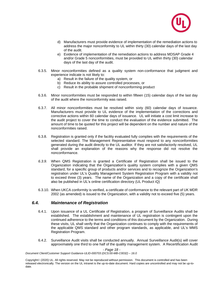

- d) Manufacturers must provide evidence of implementation of the remediation actions to address the major nonconformity to UL within thirty (30) calendar days of the last day of the audit.
- e) Evidence of implementation of the remediation actions to address MDSAP Grade 4 and/or Grade 5 nonconformities, must be provided to UL within thirty (30) calendar days of the last day of the audit.
- 6.3.5. Minor nonconformities defined as a quality system non-conformance that judgment and experience indicate is not likely to:
	- a) Result in the failure of the quality system, or
	- b) Reduce its ability to assure controlled processes, or
	- c) Result in the probable shipment of nonconforming product
- 6.3.6. Minor nonconformities must be responded to within fifteen (15) calendar days of the last day of the audit where the nonconformity was raised.
- 6.3.7. All minor nonconformities must be resolved within sixty (60) calendar days of issuance. Manufacturers must provide to UL evidence of the implementation of the corrections and corrective actions within 60 calendar days of issuance. UL will initiate a cost limit increase to the audit project to cover the time to conduct the evaluation of the evidence submitted. The amount of time to be quoted for this project will be dependent on the number and nature of the nonconformities raised.
- 6.3.8. Registration is granted only if the facility evaluated fully complies with the requirements of the selected standard. The Management Representative must respond to any nonconformities generated during the audit directly to the UL auditor. If they are not satisfactorily resolved, UL shall provide an explanation of the reasons why the response did not resolve the nonconformance.
- *6.3.9.* When QMS Registration is granted a Certificate of Registration shall be issued to the Organization indicating that the Organization's quality system complies with a given QMS standard, for a specific group of products and/or services and to recognize the Organization's registration under UL's Quality Management System Registration Program with a validity not to exceed three (3) years. The name of the Organization and a copy of the certificate shall also be published in UL's online certification directory (UL Product iQ)
- 6.3.10. When UKCA conformity is verified, a certificate of conformance to the relevant part of UK MDR 2002 (as amended) is issued to the Organization, with a validity not to exceed five (5) years.

## *6.4. Maintenance of Registration*

- 6.4.1. Upon issuance of a UL Certificate of Registration, a program of Surveillance Audits shall be established. The establishment and maintenance of UL registration is contingent upon the continued adherence to the terms and conditions of this document by the Organization. During these visits, UL shall verify that the Organization continues to comply with the requirements of the applicable QMS standard and other program standards, as applicable, and UL's MMS Registration Program.
- 6.4.2. Surveillance Audit visits shall be conducted annually. Annual Surveillance Audit(s) will cover approximately one third to one half of the quality management system. A Recertification Audit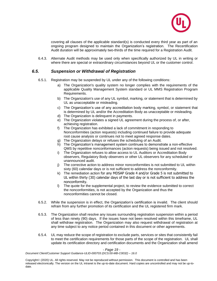

covering all clauses of the applicable standard(s) is conducted every third year as part of an ongoing program designed to maintain the Organization's registration. The Recertification Audit duration will be approximately two-thirds of the time required for a Registration Audit.

6.4.3. Alternate Audit methods may be used only when specifically authorized by UL in writing or where there are special or extraordinary circumstances beyond UL or the customer control.

## *6.5. Suspension or Withdrawal of Registration*

- 6.5.1. Registration may be suspended by UL under any of the following conditions:
	- a) The Organization's quality system no longer complies with the requirements of the applicable Quality Management System standard or UL MMS Registration Program Requirements.
	- b) The Organization's use of any UL symbol, marking, or statement that is determined by UL as unacceptable or misleading.
	- c) The Organization's use of any accreditation body marking, symbol, or statement that is determined by UL and/or the Accreditation Body as unacceptable or misleading.
	- d) The Organization is delinquent in payments.
	- e) The Organization violates a signed UL agreement during the process of, or after, achieving registration.
	- f) The Organization has exhibited a lack of commitment in responding to Nonconformities (action requests) including continued failure to provide adequate root cause analysis or continues not to meet agreed response dates.
	- g) The Organization delays or refuses the scheduling of an Audit.
	- h) The Organization's management system continues to demonstrate a non-effective QMS by repetitive nonconformances (action requests) being issued and not resolved.
	- i) The Organization refuses to allow access to UL Auditors or Accreditation Body observers, Regulatory Body observers or other UL observers for any scheduled or unannounced audit.
	- j) The corrective action to address minor nonconformities is not submitted to UL within sixty (60) calendar days or is not sufficient to address the nonconformity.
	- k) The remediation action for any MDSAP Grade 4 and/or Grade 5 is not submitted to UL within thirty (30) calendar days of the last day or is not sufficient to address the nonconformity.
	- l) The quote for the supplemental project, to review the evidence submitted to correct the nonconformities, is not accepted by the Organization and thus the nonconformities cannot be closed.
- 6.5.2. While the suspension is in effect, the Organization's certification is invalid. The client should refrain from any further promotion of its certification and the UL registered firm mark.
- 6.5.3. The Organization shall resolve any issues surrounding registration suspension within a period of less than ninety (90) days. If the issues have not been resolved within this timeframe, UL shall withdraw registration. The Organization may also request withdrawal of registration at any time subject to any notice period contained in this document or other agreements.
- 6.5.4. UL may reduce the scope of registration to exclude parts, services or sites that consistently fail to meet the certification requirements for those parts of the scope of the registration. UL shall update its certification directory and certification documents and the Organization shall amend

#### *- Page 19 -*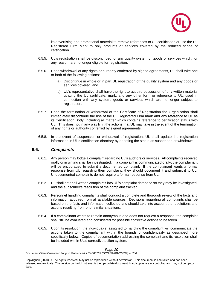

its advertising and promotional material to remove references to UL certification or use the UL Registered Firm Mark to only products or services covered by the reduced scope of certification.

- 6.5.5. UL's registration shall be discontinued for any quality system or goods or services which, for any reason, are no longer eligible for registration.
- 6.5.6. Upon withdrawal of any rights or authority conferred by signed agreements, UL shall take one or both of the following actions:
	- a) Discontinue in whole or in part UL registration of the quality system and any goods or services covered, and
	- b) UL's representative shall have the right to acquire possession of any written material utilizing the UL certificate, mark, and any other form or reference to UL, used in connection with any system, goods or services which are no longer subject to registration.
- 6.5.7. Upon the termination or withdrawal of the Certificate of Registration the Organization shall immediately discontinue the use of the UL Registered Firm mark and any reference to UL as its Certification Body, including all matter which contains reference to certification status with UL. This does not in any way limit the actions that UL may take in the event of the termination of any rights or authority conferred by signed agreements.
- 6.5.8. In the event of suspension or withdrawal of registration, UL shall update the registration information in UL's certification directory by denoting the status as suspended or withdrawn.

## **6.6.** *Complaints*

- 6.6.1. Any person may lodge a complaint regarding UL's auditors or services. All complaints received orally or in writing shall be investigated. If a complaint is communicated orally, the complainant will be encouraged to submit a documented complaint. If the complainant wants a formal response from UL regarding their complaint, they should document it and submit it to UL. Undocumented complaints do not require a formal response from UL.
- 6.6.2. UL shall enter all written complaints into UL's complaint database so they may be investigated, and the subscriber's resolution of the complaint tracked.
- 6.6.3. Personnel handling complaints shall conduct a complete and thorough review of the facts and information acquired from all available sources. Decisions regarding all complaints shall be based on the facts and information collected and should take into account the resolutions and actions resulting from prior similar situations.
- 6.6.4. If a complainant wants to remain anonymous and does not request a response, the complaint shall still be evaluated and considered for possible corrective actions to be taken.
- 6.6.5. Upon its resolution, the individual(s) assigned to handling the complaint will communicate the actions taken to the complainant within the bounds of confidentiality as described more specifically below. Copies of documentation addressing the complaint and its resolution shall be included within UL's corrective action system.

#### *- Page 20 -*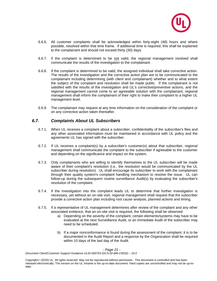

- 6.6.6. All customer complaints shall be acknowledged within forty-eight (48) hours and where possible, resolved within that time frame. If additional time is required, this shall be explained to the complainant and should not exceed thirty (30) days.
- 6.6.7. If the complaint is determined to be not valid, the regional management involved shall communicate the results of the investigation to the complainant.
- 6.6.8. If the complaint is determined to be valid, the assigned individual shall take corrective action. The results of the investigation and the corrective action plan are to be communicated to the complainant including determining (with client and complainant) whether and to what extent the subject of the complaint and resolution shall be made public. If the complainant is not satisfied with the results of the investigation and UL's corrective/preventive actions, and the regional management cannot come to an agreeable solution with the complainant, regional management shall inform the complainant of their right to make their complaint to a higher UL management level.
- 6.6.9. The complainant may request at any time information on the consideration of the complaint or on any corrective action taken thereafter.

## *6.7. Complaints About UL Subscribers*

- 6.7.1. When UL receives a complaint about a subscriber, confidentiality of the subscriber's files and any other associated information must be maintained in accordance with UL policy and the agreements UL has signed with the subscriber.
- 6.7.2. If UL receives a complaint(s) by a subscriber's customer(s) about that subscriber, regional management shall communicate the complaint to the subscriber if agreeable to the customer and depending on the significance and impact on the system*.*
- 6.7.3. Only complainants who are willing to identify themselves to the UL subscriber will be made aware of their complaint's resolution (i.e., the resolution would be communicated by the UL subscriber during resolution). UL shall encourage its subscriber to work with the complainant through their quality system's complaint handling mechanism to resolve the issue. UL can follow-up during the subsequent routine surveillance Audit(s) by evaluating the subscriber's resolution of the complaint.
- 6.7.4. If the investigation into the complaint leads UL to determine that further investigation is necessary, yet without an on-site visit, regional management shall request that the subscriber provide a corrective action plan including root cause analysis, planned actions and timing.
- 6.7.5. If a representative of UL management determines after review of the complaint and any other associated evidence, that an on-site visit is required, the following shall be observed:
	- a) Depending on the severity of the complaint, certain elements/systems may have to be evaluated at the next Surveillance Audit, or an immediate Audit of the subscriber may need to be scheduled.
	- b) If a major nonconformance is found during the assessment of the complaint, it is to be documented in the Audit Report and a response by the Organization shall be required within 10 days of the last day of the Audit.

#### *- Page 21 -*

*Document Client/Customer Support Guidance-ULID-000703 (DCS:00-MB-C0032) – 16.0*

Copyright© (2020) UL. All rights reserved. May not be reproduced without permission. This document is controlled and has been released electronically. The version on the UL intranet is the up-to-date document. Hard copies are uncontrolled and may not be up-todate.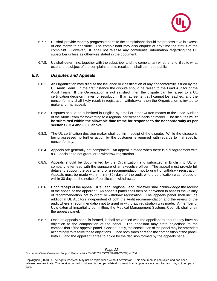

- 6.7.7. UL shall provide monthly progress reports to the complainant should the process take in excess of one month to conclude. The complainant may also enquire at any time the status of the complaint. However, UL shall not release any confidential information regarding the UL subscriber unless as otherwise stated in the document.
- 6.7.8. UL shall determine, together with the subscriber and the complainant whether and, if so to what extent, the subject of the complaint and its resolution shall be made public.

## *6.8. Disputes and Appeals*

- 6.8.1. An Organization may dispute the issuance or classification of any nonconformity issued by the UL Audit Team. In the first instance the dispute should be raised to the Lead Auditor of the Audit Team. If the Organization is not satisfied, then the dispute can be raised to a UL certification decision maker for resolution. If an agreement still cannot be reached, and the nonconformity shall likely result in registration withdrawal, then the Organization is invited to make a formal appeal.
- 6.8.2. Disputes should be submitted in English by email or other written means to the Lead Auditor of the Audit Team for forwarding to a regional certification decision maker. The disputes **must be submitted within the allowable time frame for response to the nonconformity as per sections 6.3.4 and 6.3.6 above.**
- 6.8.3. The UL certification decision maker shall confirm receipt of the dispute. While the dispute is being assessed no further action by the customer is required with regards to that specific nonconformity.
- 6.8.4. Appeals are generally not complaints. An appeal is made when there is a disagreement with a UL decision to not grant, or to withdraw registration.
- 6.8.5. Appeals should be documented by the Organization and submitted in English to UL on company letterhead with the signature of an executive officer. The appeal must provide full details to support the overturning of a recommendation not to grant or withdraw registration. Appeals must be made within thirty (30) days of the audit where certification was refused or within 30 days of the notice of certification withdrawal.
- 6.8.6. Upon receipt of the appeal, UL's Lead Regional Lead Reviewer shall acknowledge the receipt of the appeal to the appellant. An appeals panel shall then be convened to assess the validity of recommendation not to grant or withdraw registration. The appeals panel shall include additional UL Auditors independent of both the Audit recommendation and the review of the audit where a recommendation not to grant or withdraw registration was made. A member of UL's external impartiality committee, the Medical Management Systems Council, shall chair the appeals panel.
- 6.8.7. Once an appeals panel is formed, it shall be verified with the appellant to ensure they have no objection to the composition of the panel. The appellant may state objections to the composition of the appeals panel. Consequently, the constitution of the panel may be amended accordingly to resolve those objections. Once both sides agree to the composition of the panel, both UL and the appellant agree to abide by the decision formed by the appeals panel.

*- Page 22 -*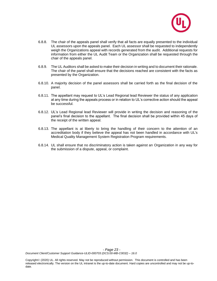

- 6.8.8. The chair of the appeals panel shall verify that all facts are equally presented to the individual UL assessors upon the appeals panel. Each UL assessor shall be requested to independently weigh the Organizations appeal with records generated from the audit. Additional requests for information from either the UL Audit Team or the Organization shall be requested through the chair of the appeals panel.
- 6.8.9. The UL Auditors shall be asked to make their decision in writing and to document their rationale. The chair of the panel shall ensure that the decisions reached are consistent with the facts as presented by the Organization.
- 6.8.10. A majority decision of the panel assessors shall be carried forth as the final decision of the panel.
- 6.8.11. The appellant may request to UL's Lead Regional lead Reviewer the status of any application at any time during the appeals process or in relation to UL's corrective action should the appeal be successful.
- 6.8.12. UL's Lead Regional lead Reviewer will provide in writing the decision and reasoning of the panel's final decision to the appellant. The final decision shall be provided within 45 days of the receipt of the written appeal.
- 6.8.13. The appellant is at liberty to bring the handling of their concern to the attention of an accreditation body if they believe the appeal has not been handled in accordance with UL's Medical Quality Management System Registration Program requirements.
- 6.8.14. UL shall ensure that no discriminatory action is taken against an Organization in any way for the submission of a dispute, appeal, or complaint.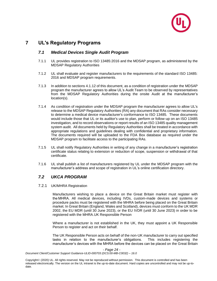

# **7 UL's Regulatory Programs**

## *7.1 Medical Devices Single Audit Program*

- 7.1.1 UL provides registration to ISO 13485:2016 and the MDSAP program, as administered by the MDSAP Regulatory Authorities
- 7.1.2 UL shall evaluate and register manufacturers to the requirements of the standard ISO 13485: 2016 and MDSAP program requirements.
- 7.1.3 In addition to sections 4.1.12 of this document, as a condition of registration under the MDSAP program the manufacturer agrees to allow UL's Audit Team to be observed by representatives from the MDSAP Regulatory Authorities during the onsite Audit at the manufacturer's location(s).
- 7.1.4 As condition of registration under the MDSAP program the manufacturer agrees to allow UL's release to the MDSAP Regulatory Authorities (RA) any document that RAs consider necessary to determine a medical device manufacturer's conformance to ISO 13485. These documents would include those that UL or its auditor's use to plan, perform or follow-up on an ISO 13485 investigation, and to record observations or report results of an ISO 13485 quality management system audit. All documents held by Regulatory Authorities shall be treated in accordance with appropriate regulations and guidelines dealing with confidential and proprietary information. The documents required will be uploaded to the FDA Box database as required under the MDSAP program to facilitate access to the participating RAs.
- 7.1.5 UL shall notify Regulatory Authorities in writing of any change in a manufacturer's registration certificate status relating to extension or reduction of scope, suspension or withdrawal of that certificate.
- 7.1.6 UL shall publish a list of manufacturers registered by UL under the MDSAP program with the manufacturer's address and scope of registration in UL's online certification directory.

## *7.2 UKCA PROGRAM*

#### 7.2.1 UK/MHRA Registration

Manufacturers wishing to place a device on the Great Britain market must register with the MHRA. All medical devices, including IVDs, custom-made devices and systems or procedure packs must be registered with the MHRA before being placed on the Great Britain market. In Great Britain (England, Wales and Scotland), devices must conform to the UK MDR 2002, the EU MDR (until 30 June 2023), or the EU IVDR (until 30 June 2023) in order to be registered with the MHRA.UK Responsible Person

Where a manufacturer is not established in the UK, they must appoint a UK Responsible Person to register and act on their behalf.

The UK Responsible Person acts on behalf of the non-UK manufacturer to carry out specified tasks in relation to the manufacturer's obligations. This includes registering the manufacturer's devices with the MHRA before the devices can be placed on the Great Britain

*- Page 24 -*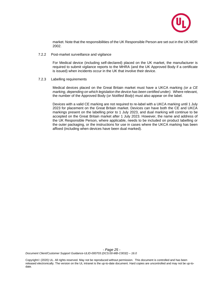

market. Note that the responsibilities of the UK Responsible Person are set out in the UK MDR 2002.

7.2.2 Post-market surveillance and vigilance

For Medical device (including self-declared) placed on the UK market, the manufacturer is required to submit vigilance reports to the MHRA (and the UK Approved Body if a certificate is issued) when incidents occur in the UK that involve their device.

7.2.3 Labelling requirements

Medical devices placed on the Great Britain market must have a UKCA marking *(or a CE marking, depending on which legislation the device has been certified under).* Where relevant, the number of the Approved Body (*or Notified Body*) must also appear on the label.

Devices with a valid CE marking are not required to re-label with a UKCA marking until 1 July 2023 for placement on the Great Britain market. Devices can have both the CE and UKCA markings present on the labelling prior to 1 July 2023, and dual marking will continue to be accepted on the Great Britain market after 1 July 2023. However, the name and address of the UK Responsible Person, where applicable, needs to be included on product labelling or the outer packaging, or the instructions for use in cases where the UKCA marking has been affixed (including when devices have been dual marked).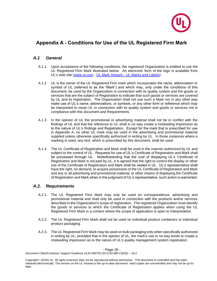

# **Appendix A - Conditions for Use of the UL Registered Firm Mark**

## *A.1 General*

- A.1.1 Upon acceptance of the following conditions, the registered Organization is entitled to use the UL Registered Firm Mark illustrated below. An electronic form of the logo is available from UL's web site [\(www.ul.com](http://www.ul.com/) - UL Mark Artwork - [UL Marks and Labels\)](https://marks.ul.com/about/ul-listing-and-classification-marks/downloadable-ul-marks/#mark30).
- A.1.2 UL is the owner of the UL Registered Firm mark which incorporates the name, abbreviation or symbol of UL (referred to as the "Mark") and which may, only under the conditions of this document, be used by the Organization in connection with its quality system and the goods or services that are the subject of Registration to indicate that such goods or services are covered by UL and its registration. The Organization shall not use such a Mark nor in any other way make use of UL's name, abbreviations, or symbols, or any other form or reference which may be interpreted to mean UL in connection with its quality system and goods or services not in compliance with this document and Requirements.
- A.1.3 In the opinion of UL the promotional or advertising material shall not be in conflict with the findings of UL and that the reference to UL shall in no way create a misleading impression as to the nature of UL's findings and Registration. Except for the mark that is prescribed for use in Appendix A, no other UL mark may be used in the advertising and promotional material supplied unless otherwise specifically authorized in writing by UL. In those instances where a marking is used, any text, which is prescribed by this document, shall be used.
- A.1.4 The UL Certificate of Registration and Mark shall be used in the manner authorized by UL and subject to the control of UL. Requests for use of UL's Certificate of Registration and Mark shall be processed through UL. Notwithstanding that the cost of displaying UL's Certificate of Registration and Mark is not paid by UL, it is agreed that the right to control the display or other use of the Certificate of Registration and Mark shall be vested in UL. UL's representative shall have the right, on demand, to acquire possession of the UL Certificate of Registration and Mark and any or all advertising and promotional material, or other means of displaying the Certificate of Registration and Mark when in the judgment of UL's representative, such action is warranted.

## *A.2. Requirements*

- A.2.1. The UL Registered Firm Mark may only be used on correspondence, advertising and promotional material and shall only be used in connection with the products and/or services described in the Organization's scope of registration. The registered Organization must identify the goods or services to which the Certificate of Registration applies when using the UL Registered Firm Mark in a context where the scope of application is open to interpretation.
- A.2.2. The UL Registered Firm Mark shall not be used on individual product containers or individual product packaging.
- A.2.3. The UL Registered Firm Mark may be used on bulk packaging only when specifically authorized in writing by UL, provided that in the opinion of UL, the mark's use in no way tends to create a misleading impression as to the nature of UL's quality management system registration.

*- Page 26 -*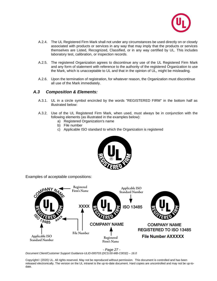

- A.2.4. The UL Registered Firm Mark shall not under any circumstances be used directly on or closely associated with products or services in any way that may imply that the products or services themselves are Listed, Recognized, Classified, or in any way certified by UL. This includes laboratory test, calibration, or inspection records.
- A.2.5. The registered Organization agrees to discontinue any use of the UL Registered Firm Mark and any form of statement with reference to the authority of the registered Organization to use the Mark, which is unacceptable to UL and that in the opinion of UL, might be misleading.
- A.2.6. Upon the termination of registration, for whatever reason, the Organization must discontinue all use of the Mark immediately.

## *A.3 Composition & Elements:*

- A.3.1. UL in a circle symbol encircled by the words "REGISTERED FIRM" in the bottom half as illustrated below:
- A.3.2. Use of the UL Registered Firm Mark, when used, must always be in conjunction with the following elements (as illustrated in the examples below):
	- a) Registered Organization's name
	- b) File number
	- c) Applicable ISO standard to which the Organization is registered



Examples of acceptable compositions:





*Document Client/Customer Support Guidance-ULID-000703 (DCS:00-MB-C0032) – 16.0*

Copyright© (2020) UL. All rights reserved. May not be reproduced without permission. This document is controlled and has been released electronically. The version on the UL intranet is the up-to-date document. Hard copies are uncontrolled and may not be up-todate.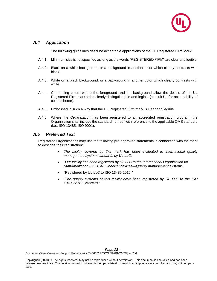

## *A.4 Application*

The following guidelines describe acceptable applications of the UL Registered Firm Mark:

- A.4.1. Minimum size is not specified as long as the words "REGISTERED FIRM" are clear and legible.
- A.4.2. Black on a white background, or a background in another color which clearly contrasts with black.
- A.4.3. White on a black background, or a background in another color which clearly contrasts with white.
- A.4.4. Contrasting colors where the foreground and the background allow the details of the UL Registered Firm mark to be clearly distinguishable and legible (consult UL for acceptability of color scheme).
- A.4.5. Embossed in such a way that the UL Registered Firm mark is clear and legible
- A.4.6 Where the Organization has been registered to an accredited registration program, the Organization shall include the standard number with reference to the applicable QMS standard (i.e., ISO 13485, ISO 9001).

## *A.5 Preferred Text*

Registered Organizations may use the following pre-approved statements in connection with the mark to describe their registration:

- *The facility covered by this mark has been evaluated to international quality management system standards by UL LLC.*
- *"Our facility has been registered by UL LLC to the International Organization for Standardization ISO 13485 Medical devices—Quality management systems.*
- "Registered by UL LLC to ISO 13485:2016."
- *"The quality systems of this facility have been registered by UL LLC to the ISO 13485:2016 Standard.'*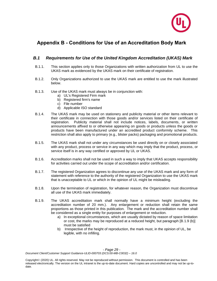

# **Appendix B - Conditions for Use of an Accreditation Body Mark**

## *B.1 Requirements for Use of the United Kingdom Accreditation (UKAS) Mark*

- B.1.1. This section applies only to those Organizations with written authorization from UL to use the UKAS mark as evidenced by the UKAS mark on their certificate of registration.
- B.1.2. Only Organizations authorized to use the UKAS mark are entitled to use the mark illustrated below.
- B.1.3. Use of the UKAS mark must always be in conjunction with:
	- a) UL's Registered Firm mark
	- b) Registered firm's name
	- c) File number
	- d) Applicable ISO standard
- B.1.4. The UKAS mark may be used on stationery and publicity material or other items relevant to their certificate in connection with those goods and/or services listed on their certificate of registration. Publicity material shall not include notices, labels, documents, or written announcements affixed to or otherwise appearing on goods or products unless the goods or products have been manufactured under an accredited product conformity scheme. This restriction shall also apply to primary (e.g., blister packs) packaging and promotional products.
- B.1.5. The UKAS mark shall not under any circumstances be used directly on or closely associated with any product, process or service in any way which may imply that the product, process, or service itself is in any way certified or approved by UL or UKAS.
- B.1.6. Accreditation marks shall not be used in such a way to imply that UKAS accepts responsibility for activities carried out under the scope of accreditation and/or certification.
- B.1.7. The registered Organization agrees to discontinue any use of the UKAS mark and any form of statement with reference to the authority of the registered Organization to use the UKAS mark that is unacceptable to UL or which in the opinion of UL might be misleading.
- B.1.8. Upon the termination of registration, for whatever reason, the Organization must discontinue all use of the UKAS mark immediately.
- B.1.9. The UKAS accreditation mark shall normally have a minimum height (excluding the accreditation number of 20 mm.). Any enlargement or reduction shall retain the same proportions as those printed in this publication. The mark and the accreditation number shall be considered as a single entity for purposes of enlargement or reduction.
	- a) In exceptional circumstances, which are usually dictated by reason of space limitation or cost, the marks may be reproduced at a reduced height, but paragraph [B.1.9 (b)] must be satisfied
	- b) Irrespective of the height of reproduction, the mark must, in the opinion of UL, be legible, with no infilling.

*- Page 29 -*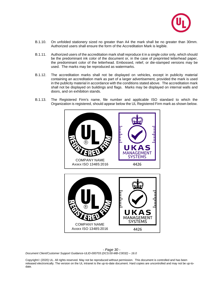

- B.1.10. On unfolded stationery sized no greater than A4 the mark shall be no greater than 30mm. Authorized users shall ensure the form of the Accreditation Mark is legible.
- B.1.11. Authorized users of the accreditation mark shall reproduce it in a single color only, which should be the predominant ink color of the document or, in the case of preprinted letterhead paper, the predominant color of the letterhead. Embossed, relief, or die-stamped versions may be used. The marks may be reproduced as watermarks.
- B.1.12. The accreditation marks shall not be displayed on vehicles, except in publicity material containing an accreditation mark as part of a larger advertisement, provided the mark is used in the publicity material in accordance with the conditions stated above. The accreditation mark shall not be displayed on buildings and flags. Marks may be displayed on internal walls and doors, and on exhibition stands.
- B.1.13. The Registered Firm's name, file number and applicable ISO standard to which the Organization is registered, should appear below the UL Registered Firm mark as shown below.



K MANAGEMENT SYSTEMS COMPANY NAME Axxxx ISO 13485:2016 4426

*- Page 30 - Document Client/Customer Support Guidance-ULID-000703 (DCS:00-MB-C0032) – 16.0*

Copyright© (2020) UL. All rights reserved. May not be reproduced without permission. This document is controlled and has been released electronically. The version on the UL intranet is the up-to-date document. Hard copies are uncontrolled and may not be up-todate.